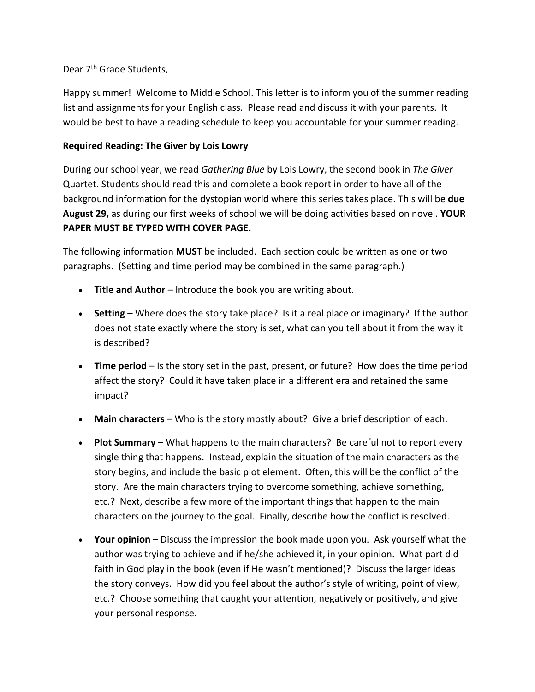## Dear 7<sup>th</sup> Grade Students.

Happy summer! Welcome to Middle School. This letter is to inform you of the summer reading list and assignments for your English class. Please read and discuss it with your parents. It would be best to have a reading schedule to keep you accountable for your summer reading.

## **Required Reading: The Giver by Lois Lowry**

During our school year, we read *Gathering Blue* by Lois Lowry, the second book in *The Giver*  Quartet. Students should read this and complete a book report in order to have all of the background information for the dystopian world where this series takes place. This will be **due August 29,** as during our first weeks of school we will be doing activities based on novel. **YOUR PAPER MUST BE TYPED WITH COVER PAGE.**

The following information **MUST** be included. Each section could be written as one or two paragraphs. (Setting and time period may be combined in the same paragraph.)

- **Title and Author** Introduce the book you are writing about.
- **Setting** Where does the story take place? Is it a real place or imaginary? If the author does not state exactly where the story is set, what can you tell about it from the way it is described?
- **Time period** Is the story set in the past, present, or future? How does the time period affect the story? Could it have taken place in a different era and retained the same impact?
- **Main characters** Who is the story mostly about? Give a brief description of each.
- **Plot Summary** What happens to the main characters? Be careful not to report every single thing that happens. Instead, explain the situation of the main characters as the story begins, and include the basic plot element. Often, this will be the conflict of the story. Are the main characters trying to overcome something, achieve something, etc.? Next, describe a few more of the important things that happen to the main characters on the journey to the goal. Finally, describe how the conflict is resolved.
- **Your opinion** Discuss the impression the book made upon you. Ask yourself what the author was trying to achieve and if he/she achieved it, in your opinion. What part did faith in God play in the book (even if He wasn't mentioned)? Discuss the larger ideas the story conveys. How did you feel about the author's style of writing, point of view, etc.? Choose something that caught your attention, negatively or positively, and give your personal response.